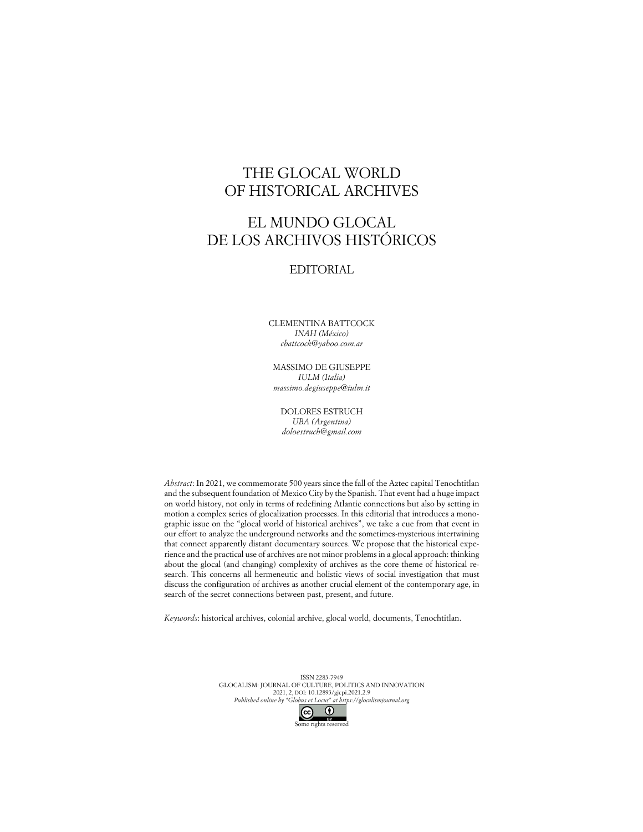## THE GLOCAL WORLD OF HISTORICAL ARCHIVES

## EL MUNDO GLOCAL DE LOS ARCHIVOS HISTÓRICOS

## EDITORIAL

CLEMENTINA BATTCOCK *INAH (México) cbattcock@yahoo.com.ar*

MASSIMO DE GIUSEPPE *IULM (Italia) massimo.degiuseppe@iulm.it*

DOLORES ESTRUCH *UBA (Argentina) doloestruch@gmail.com*

*Abstract*: In 2021, we commemorate 500 years since the fall of the Aztec capital Tenochtitlan and the subsequent foundation of Mexico City by the Spanish. That event had a huge impact on world history, not only in terms of redefining Atlantic connections but also by setting in motion a complex series of glocalization processes. In this editorial that introduces a monographic issue on the "glocal world of historical archives", we take a cue from that event in our effort to analyze the underground networks and the sometimes-mysterious intertwining that connect apparently distant documentary sources. We propose that the historical experience and the practical use of archives are not minor problems in a glocal approach: thinking about the glocal (and changing) complexity of archives as the core theme of historical research. This concerns all hermeneutic and holistic views of social investigation that must discuss the configuration of archives as another crucial element of the contemporary age, in search of the secret connections between past, present, and future.

*Keywords*: historical archives, colonial archive, glocal world, documents, Tenochtitlan.

ISSN 2283-7949 GLOCALISM: JOURNAL OF CULTURE, POLITICS AND INNOVATION 2021, 2, DOI: 10.12893/gjcpi.2021.2.9 *Published online by "Globus et Locus" at https://glocalismjournal.org*

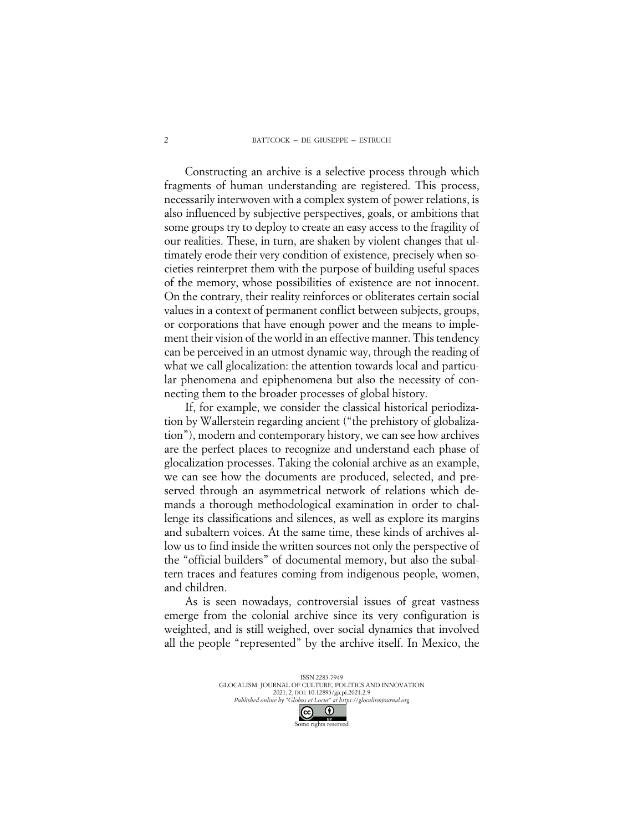## BATTCOCK – DE GIUSEPPE – ESTRUCH

Constructing an archive is a selective process through which fragments of human understanding are registered. This process, necessarily interwoven with a complex system of power relations, is also influenced by subjective perspectives, goals, or ambitions that some groups try to deploy to create an easy access to the fragility of our realities. These, in turn, are shaken by violent changes that ultimately erode their very condition of existence, precisely when societies reinterpret them with the purpose of building useful spaces of the memory, whose possibilities of existence are not innocent. On the contrary, their reality reinforces or obliterates certain social values in a context of permanent conflict between subjects, groups, or corporations that have enough power and the means to implement their vision of the world in an effective manner. This tendency can be perceived in an utmost dynamic way, through the reading of what we call glocalization: the attention towards local and particular phenomena and epiphenomena but also the necessity of connecting them to the broader processes of global history.

If, for example, we consider the classical historical periodization by Wallerstein regarding ancient ("the prehistory of globalization"), modern and contemporary history, we can see how archives are the perfect places to recognize and understand each phase of glocalization processes. Taking the colonial archive as an example, we can see how the documents are produced, selected, and preserved through an asymmetrical network of relations which demands a thorough methodological examination in order to challenge its classifications and silences, as well as explore its margins and subaltern voices. At the same time, these kinds of archives allow us to find inside the written sources not only the perspective of the "official builders" of documental memory, but also the subaltern traces and features coming from indigenous people, women, and children.

As is seen nowadays, controversial issues of great vastness emerge from the colonial archive since its very configuration is weighted, and is still weighed, over social dynamics that involved all the people "represented" by the archive itself. In Mexico, the

> ISSN 2283-7949 GLOCALISM: JOURNAL OF CULTURE, POLITICS AND INNOVATION 2021, 2, DOI: 10.12893/gjcpi.2021.2.9 *Published online by "Globus et Locus" at https://glocalismjournal.org*  $\odot$  $\left($ Some rights reserved

2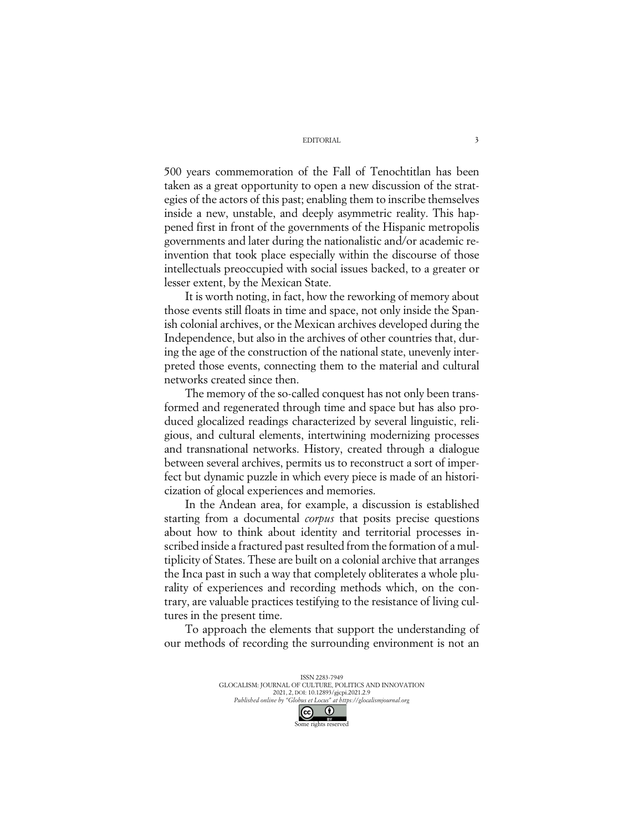EDITORIAL

500 years commemoration of the Fall of Tenochtitlan has been taken as a great opportunity to open a new discussion of the strategies of the actors of this past; enabling them to inscribe themselves inside a new, unstable, and deeply asymmetric reality. This happened first in front of the governments of the Hispanic metropolis governments and later during the nationalistic and/or academic reinvention that took place especially within the discourse of those intellectuals preoccupied with social issues backed, to a greater or lesser extent, by the Mexican State.

It is worth noting, in fact, how the reworking of memory about those events still floats in time and space, not only inside the Spanish colonial archives, or the Mexican archives developed during the Independence, but also in the archives of other countries that, during the age of the construction of the national state, unevenly interpreted those events, connecting them to the material and cultural networks created since then.

The memory of the so-called conquest has not only been transformed and regenerated through time and space but has also produced glocalized readings characterized by several linguistic, religious, and cultural elements, intertwining modernizing processes and transnational networks. History, created through a dialogue between several archives, permits us to reconstruct a sort of imperfect but dynamic puzzle in which every piece is made of an historicization of glocal experiences and memories.

In the Andean area, for example, a discussion is established starting from a documental *corpus* that posits precise questions about how to think about identity and territorial processes inscribed inside a fractured past resulted from the formation of a multiplicity of States. These are built on a colonial archive that arranges the Inca past in such a way that completely obliterates a whole plurality of experiences and recording methods which, on the contrary, are valuable practices testifying to the resistance of living cultures in the present time.

To approach the elements that support the understanding of our methods of recording the surrounding environment is not an

> ISSN 2283-7949 GLOCALISM: JOURNAL OF CULTURE, POLITICS AND INNOVATION 2021, 2, DOI: 10.12893/gjcpi.2021.2.9 *Published online by "Globus et Locus" at https://glocalismjournal.org*  $\odot$  $\left($ cc Some rights reserved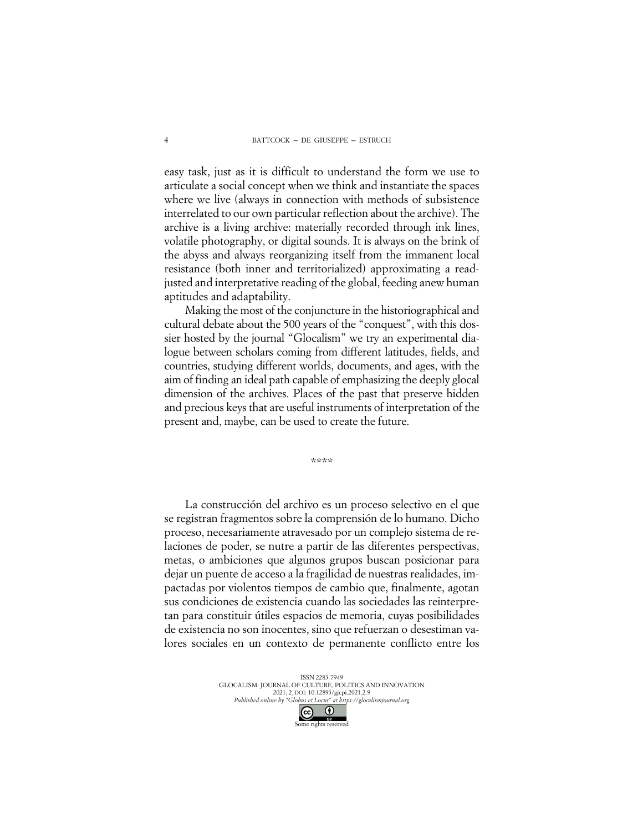easy task, just as it is difficult to understand the form we use to articulate a social concept when we think and instantiate the spaces where we live (always in connection with methods of subsistence interrelated to our own particular reflection about the archive). The archive is a living archive: materially recorded through ink lines, volatile photography, or digital sounds. It is always on the brink of the abyss and always reorganizing itself from the immanent local resistance (both inner and territorialized) approximating a readjusted and interpretative reading of the global, feeding anew human aptitudes and adaptability.

Making the most of the conjuncture in the historiographical and cultural debate about the 500 years of the "conquest", with this dossier hosted by the journal "Glocalism" we try an experimental dialogue between scholars coming from different latitudes, fields, and countries, studying different worlds, documents, and ages, with the aim of finding an ideal path capable of emphasizing the deeply glocal dimension of the archives. Places of the past that preserve hidden and precious keys that are useful instruments of interpretation of the present and, maybe, can be used to create the future.

\*\*\*\*

La construcción del archivo es un proceso selectivo en el que se registran fragmentos sobre la comprensión de lo humano. Dicho proceso, necesariamente atravesado por un complejo sistema de relaciones de poder, se nutre a partir de las diferentes perspectivas, metas, o ambiciones que algunos grupos buscan posicionar para dejar un puente de acceso a la fragilidad de nuestras realidades, impactadas por violentos tiempos de cambio que, finalmente, agotan sus condiciones de existencia cuando las sociedades las reinterpretan para constituir útiles espacios de memoria, cuyas posibilidades de existencia no son inocentes, sino que refuerzan o desestiman valores sociales en un contexto de permanente conflicto entre los

> ISSN 2283-7949 GLOCALISM: JOURNAL OF CULTURE, POLITICS AND INNOVATION 2021, 2, DOI: 10.12893/gjcpi.2021.2.9 *Published online by "Globus et Locus" at https://glocalismjournal.org*  $\odot$  $(cc)$

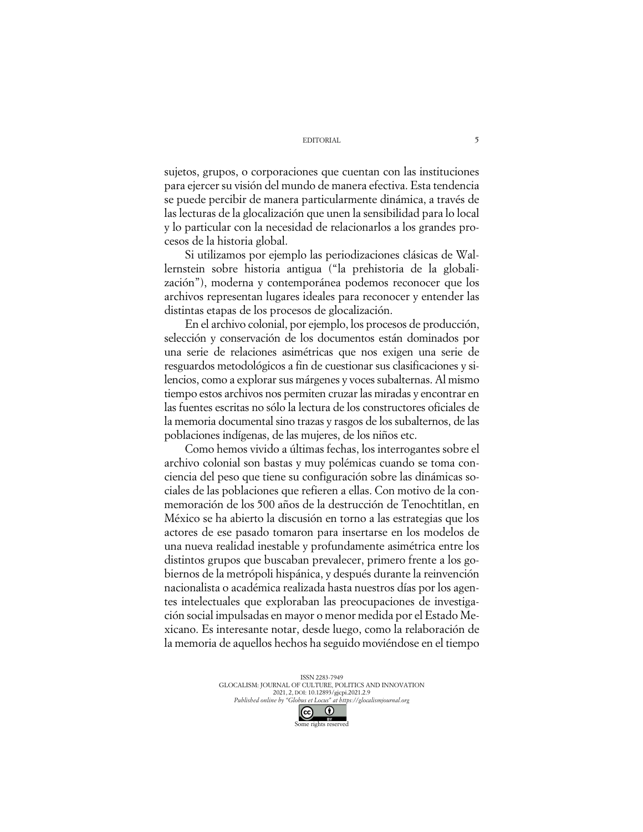sujetos, grupos, o corporaciones que cuentan con las instituciones para ejercer su visión del mundo de manera efectiva. Esta tendencia se puede percibir de manera particularmente dinámica, a través de las lecturas de la glocalización que unen la sensibilidad para lo local y lo particular con la necesidad de relacionarlos a los grandes procesos de la historia global.

Si utilizamos por ejemplo las periodizaciones clásicas de Wallernstein sobre historia antigua ("la prehistoria de la globalización"), moderna y contemporánea podemos reconocer que los archivos representan lugares ideales para reconocer y entender las distintas etapas de los procesos de glocalización.

En el archivo colonial, por ejemplo, los procesos de producción, selección y conservación de los documentos están dominados por una serie de relaciones asimétricas que nos exigen una serie de resguardos metodológicos a fin de cuestionar sus clasificaciones y silencios, como a explorar sus márgenes y voces subalternas. Al mismo tiempo estos archivos nos permiten cruzar las miradas y encontrar en las fuentes escritas no sólo la lectura de los constructores oficiales de la memoria documental sino trazas y rasgos de los subalternos, de las poblaciones indígenas, de las mujeres, de los niños etc.

Como hemos vivido a últimas fechas, los interrogantes sobre el archivo colonial son bastas y muy polémicas cuando se toma conciencia del peso que tiene su configuración sobre las dinámicas sociales de las poblaciones que refieren a ellas. Con motivo de la conmemoración de los 500 años de la destrucción de Tenochtitlan, en México se ha abierto la discusión en torno a las estrategias que los actores de ese pasado tomaron para insertarse en los modelos de una nueva realidad inestable y profundamente asimétrica entre los distintos grupos que buscaban prevalecer, primero frente a los gobiernos de la metrópoli hispánica, y después durante la reinvención nacionalista o académica realizada hasta nuestros días por los agentes intelectuales que exploraban las preocupaciones de investigación social impulsadas en mayor o menor medida por el Estado Mexicano. Es interesante notar, desde luego, como la relaboración de la memoria de aquellos hechos ha seguido moviéndose en el tiempo

> ISSN 2283-7949 GLOCALISM: JOURNAL OF CULTURE, POLITICS AND INNOVATION 2021, 2, DOI: 10.12893/gjcpi.2021.2.9 *Published online by "Globus et Locus" at https://glocalismjournal.org*  $\odot$  $\left($ cc

> > Some rights reserved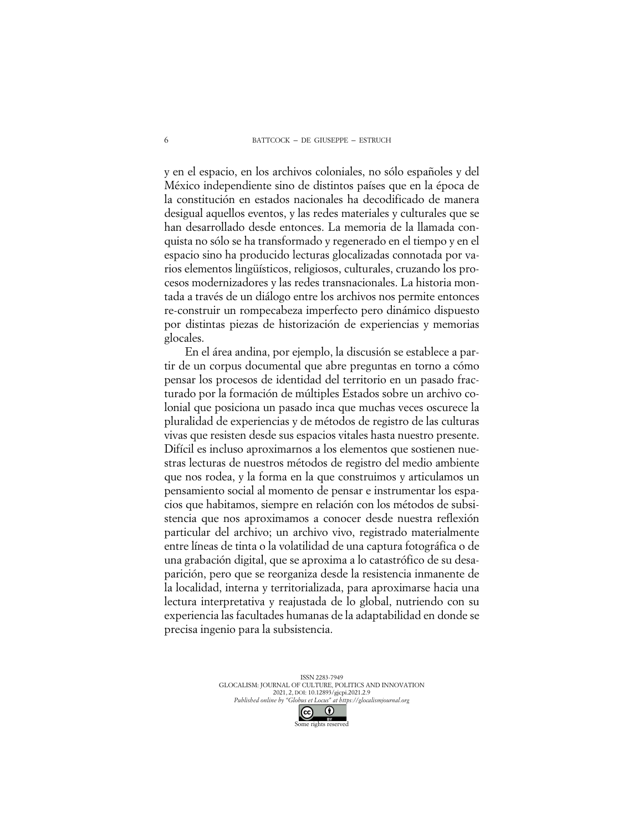y en el espacio, en los archivos coloniales, no sólo españoles y del México independiente sino de distintos países que en la época de la constitución en estados nacionales ha decodificado de manera desigual aquellos eventos, y las redes materiales y culturales que se han desarrollado desde entonces. La memoria de la llamada conquista no sólo se ha transformado y regenerado en el tiempo y en el espacio sino ha producido lecturas glocalizadas connotada por varios elementos lingüísticos, religiosos, culturales, cruzando los procesos modernizadores y las redes transnacionales. La historia montada a través de un diálogo entre los archivos nos permite entonces re-construir un rompecabeza imperfecto pero dinámico dispuesto por distintas piezas de historización de experiencias y memorias glocales.

En el área andina, por ejemplo, la discusión se establece a partir de un corpus documental que abre preguntas en torno a cómo pensar los procesos de identidad del territorio en un pasado fracturado por la formación de múltiples Estados sobre un archivo colonial que posiciona un pasado inca que muchas veces oscurece la pluralidad de experiencias y de métodos de registro de las culturas vivas que resisten desde sus espacios vitales hasta nuestro presente. Difícil es incluso aproximarnos a los elementos que sostienen nuestras lecturas de nuestros métodos de registro del medio ambiente que nos rodea, y la forma en la que construimos y articulamos un pensamiento social al momento de pensar e instrumentar los espacios que habitamos, siempre en relación con los métodos de subsistencia que nos aproximamos a conocer desde nuestra reflexión particular del archivo; un archivo vivo, registrado materialmente entre líneas de tinta o la volatilidad de una captura fotográfica o de una grabación digital, que se aproxima a lo catastrófico de su desaparición, pero que se reorganiza desde la resistencia inmanente de la localidad, interna y territorializada, para aproximarse hacia una lectura interpretativa y reajustada de lo global, nutriendo con su experiencia las facultades humanas de la adaptabilidad en donde se precisa ingenio para la subsistencia.

> ISSN 2283-7949 GLOCALISM: JOURNAL OF CULTURE, POLITICS AND INNOVATION 2021, 2, DOI: 10.12893/gjcpi.2021.2.9 *Published online by "Globus et Locus" at https://glocalismjournal.org*  $\odot$  $(cc)$

> > Some rights reserved

6